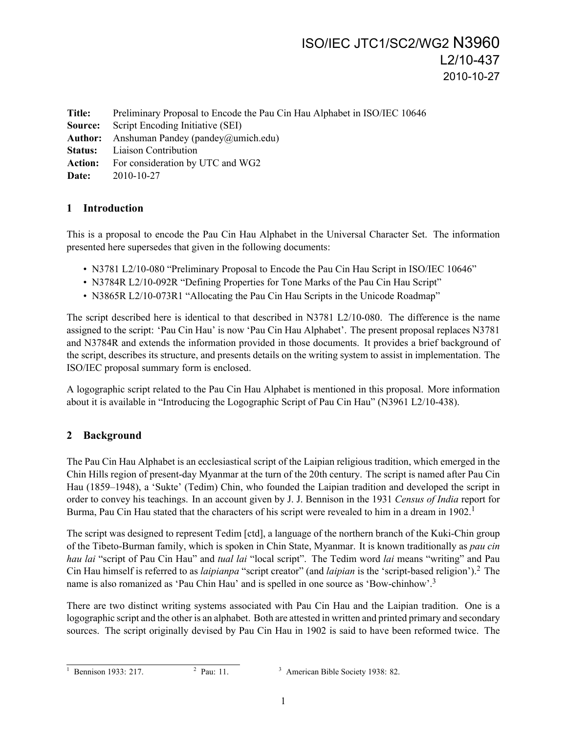# ISO/IEC JTC1/SC2/WG2 N3960 L2/10-437 2010-10-27

**Title:** Preliminary Proposal to Encode the Pau Cin Hau Alphabet in ISO/IEC 10646 **Source:** Script Encoding Initiative (SEI) Author: Anshuman Pandey (pandey@umich.edu) **Status:** Liaison Contribution **Action:** For consideration by UTC and WG2 **Date:** 2010-10-27

## **1 Introduction**

This is a proposal to encode the Pau Cin Hau Alphabet in the Universal Character Set. The information presented here supersedes that given in the following documents:

- N3781 L2/10-080 "Preliminary Proposal to Encode the Pau Cin Hau Script in ISO/IEC 10646"
- N3784R L2/10-092R "Defining Properties for Tone Marks of the Pau Cin Hau Script"
- N3865R L2/10-073R1 "Allocating the Pau Cin Hau Scripts in the Unicode Roadmap"

The script described here is identical to that described in N3781 L2/10-080. The difference is the name assigned to the script: 'Pau Cin Hau' is now 'Pau Cin Hau Alphabet'. The present proposal replaces N3781 and N3784R and extends the information provided in those documents. It provides a brief background of the script, describes its structure, and presents details on the writing system to assist in implementation. The ISO/IEC proposal summary form is enclosed.

A logographic script related to the Pau Cin Hau Alphabet is mentioned in this proposal. More information about it is available in "Introducing the Logographic Script of Pau Cin Hau" (N3961 L2/10-438).

## **2 Background**

The Pau Cin Hau Alphabet is an ecclesiastical script of the Laipian religious tradition, which emerged in the Chin Hills region of present-day Myanmar at the turn of the 20th century. The script is named after Pau Cin Hau (1859–1948), a 'Sukte' (Tedim) Chin, who founded the Laipian tradition and developed the script in order to convey his teachings. In an account given by J. J. Bennison in the 1931 *Census of India* report for Burma, Pau Cin Hau stated that the characters of his script were revealed to him in a dream in  $1902<sup>1</sup>$ 

The script was designed to represent Tedim [ctd], a language of the northern branch of the Kuki-Chin group of the Tibeto-Burman family, which is spoken in Chin State, Myanmar. It is known traditionally as *pau cin hau lai* "script of Pau Cin Hau" and *tual lai* "local script". The Tedim word *lai* means "writing" and Pau Cin Hau himself is referred to as *laipianpa* "script creator" (and *laipian* is the 'script-based religion').<sup>2</sup> The name is also romanized as 'Pau Chin Hau' and is spelled in one source as 'Bow-chinhow'.<sup>3</sup>

There are two distinct writing systems associated with Pau Cin Hau and the Laipian tradition. One is a logographic script and the other is an alphabet. Both are attested in written and printed primary and secondary sources. The script originally devised by Pau Cin Hau in 1902 is said to have been reformed twice. The

<sup>&</sup>lt;sup>1</sup> Bennison 1933: 217. <sup>2</sup> Pau: 11.

 $3$  American Bible Society 1938: 82.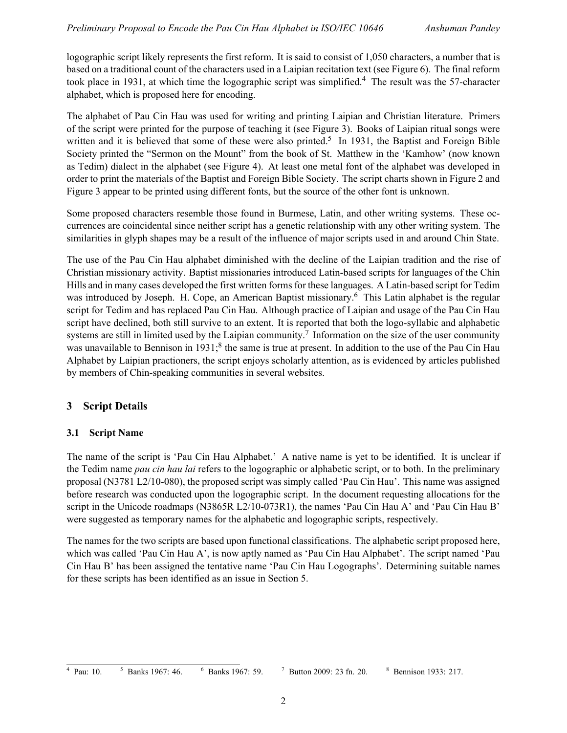logographic script likely represents the first reform. It is said to consist of 1,050 characters, a number that is based on a traditional count of the characters used in a Laipian recitation text (see Figure 6). The final reform took place in 1931, at which time the logographic script was simplified.<sup>4</sup> The result was the 57-character alphabet, which is proposed here for encoding.

The alphabet of Pau Cin Hau was used for writing and printing Laipian and Christian literature. Primers of the script were printed for the purpose of teaching it (see Figure 3). Books of Laipian ritual songs were written and it is believed that some of these were also printed.<sup>5</sup> In 1931, the Baptist and Foreign Bible Society printed the "Sermon on the Mount" from the book of St. Matthew in the 'Kamhow' (now known as Tedim) dialect in the alphabet (see Figure 4). At least one metal font of the alphabet was developed in order to print the materials of the Baptist and Foreign Bible Society. The script charts shown in Figure 2 and Figure 3 appear to be printed using different fonts, but the source of the other font is unknown.

Some proposed characters resemble those found in Burmese, Latin, and other writing systems. These occurrences are coincidental since neither script has a genetic relationship with any other writing system. The similarities in glyph shapes may be a result of the influence of major scripts used in and around Chin State.

The use of the Pau Cin Hau alphabet diminished with the decline of the Laipian tradition and the rise of Christian missionary activity. Baptist missionaries introduced Latin-based scripts for languages of the Chin Hills and in many cases developed the first written forms for these languages. A Latin-based script for Tedim was introduced by Joseph. H. Cope, an American Baptist missionary.<sup>6</sup> This Latin alphabet is the regular script for Tedim and has replaced Pau Cin Hau. Although practice of Laipian and usage of the Pau Cin Hau script have declined, both still survive to an extent. It is reported that both the logo-syllabic and alphabetic systems are still in limited used by the Laipian community.<sup>7</sup> Information on the size of the user community was unavailable to Bennison in 1931;<sup>8</sup> the same is true at present. In addition to the use of the Pau Cin Hau Alphabet by Laipian practioners, the script enjoys scholarly attention, as is evidenced by articles published by members of Chin-speaking communities in several websites.

## **3 Script Details**

## **3.1 Script Name**

The name of the script is 'Pau Cin Hau Alphabet.' A native name is yet to be identified. It is unclear if the Tedim name *pau cin hau lai* refers to the logographic or alphabetic script, or to both. In the preliminary proposal (N3781 L2/10-080), the proposed script was simply called 'Pau Cin Hau'. This name was assigned before research was conducted upon the logographic script. In the document requesting allocations for the script in the Unicode roadmaps (N3865R L2/10-073R1), the names 'Pau Cin Hau A' and 'Pau Cin Hau B' were suggested as temporary names for the alphabetic and logographic scripts, respectively.

The names for the two scripts are based upon functional classifications. The alphabetic script proposed here, which was called 'Pau Cin Hau A', is now aptly named as 'Pau Cin Hau Alphabet'. The script named 'Pau Cin Hau B' has been assigned the tentative name 'Pau Cin Hau Logographs'. Determining suitable names for these scripts has been identified as an issue in Section 5.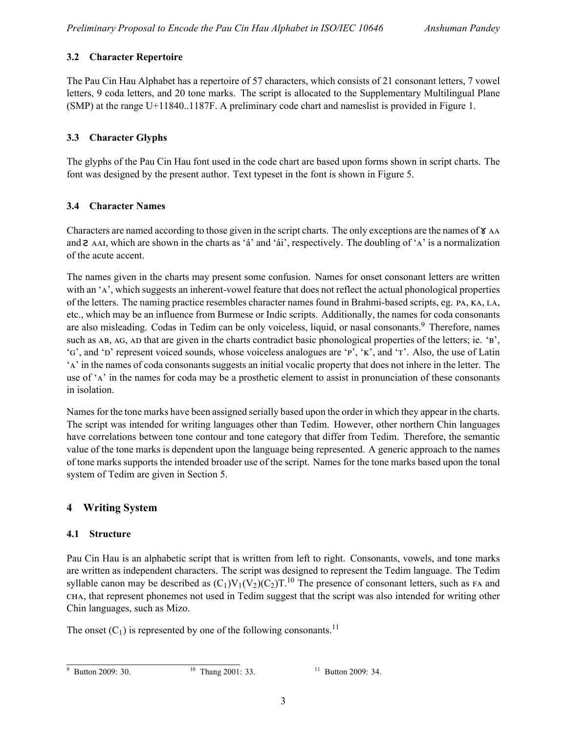## **3.2 Character Repertoire**

The Pau Cin Hau Alphabet has a repertoire of 57 characters, which consists of 21 consonant letters, 7 vowel letters, 9 coda letters, and 20 tone marks. The script is allocated to the Supplementary Multilingual Plane (SMP) at the range U+11840..1187F. A preliminary code chart and nameslist is provided in Figure 1.

## **3.3 Character Glyphs**

The glyphs of the Pau Cin Hau font used in the code chart are based upon forms shown in script charts. The font was designed by the present author. Text typeset in the font is shown in Figure 5.

## **3.4 Character Names**

Characters are named according to those given in the script charts. The only exceptions are the names of  $\gamma$  AA and  $\epsilon$  AAI, which are shown in the charts as 'á' and 'ái', respectively. The doubling of 'A' is a normalization of the acute accent.

The names given in the charts may present some confusion. Names for onset consonant letters are written with an 'A', which suggests an inherent-vowel feature that does not reflect the actual phonological properties of the letters. The naming practice resembles character names found in Brahmi-based scripts, eg. PA, KA, LA, etc., which may be an influence from Burmese or Indic scripts. Additionally, the names for coda consonants are also misleading. Codas in Tedim can be only voiceless, liquid, or nasal consonants.<sup>9</sup> Therefore, names such as  $AB$ ,  $AG$ ,  $AD$  that are given in the charts contradict basic phonological properties of the letters; ie.  $B$ , 'G', and 'D' represent voiced sounds, whose voiceless analogues are 'P', 'K', and 'T'. Also, the use of Latin 'A' in the names of coda consonants suggests an initial vocalic property that does not inhere in the letter. The use of 'A' in the names for coda may be a prosthetic element to assist in pronunciation of these consonants in isolation.

Names for the tone marks have been assigned serially based upon the order in which they appear in the charts. The script was intended for writing languages other than Tedim. However, other northern Chin languages have correlations between tone contour and tone category that differ from Tedim. Therefore, the semantic value of the tone marks is dependent upon the language being represented. A generic approach to the names of tone marks supports the intended broader use of the script. Names for the tone marks based upon the tonal system of Tedim are given in Section 5.

## **4 Writing System**

## **4.1 Structure**

Pau Cin Hau is an alphabetic script that is written from left to right. Consonants, vowels, and tone marks are written as independent characters. The script was designed to represent the Tedim language. The Tedim syllable canon may be described as  $(C_1)V_1(V_2)(C_2)T$ .<sup>10</sup> The presence of consonant letters, such as FA and , that represent phonemes not used in Tedim suggest that the script was also intended for writing other Chin languages, such as Mizo.

The onset  $(C_1)$  is represented by one of the following consonants.<sup>11</sup>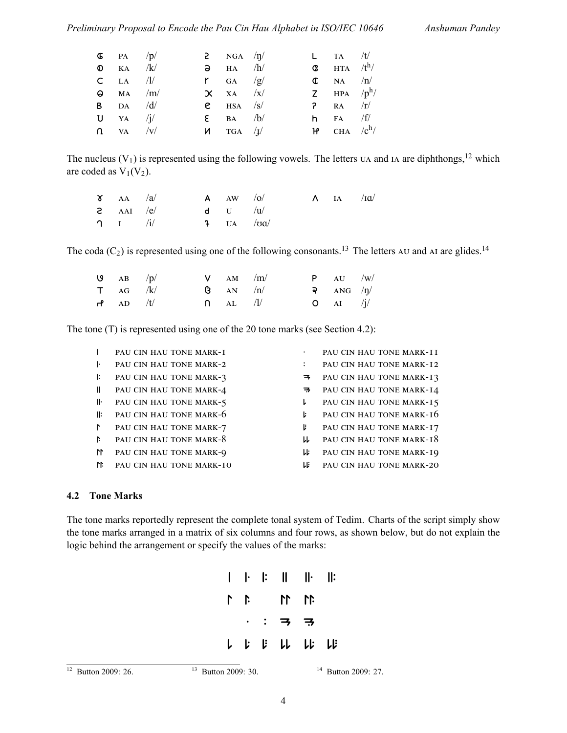#### *Preliminary Proposal to Encode the Pau Cin Hau Alphabet in ISO/IEC 10646 Anshuman Pandey*

| $\bullet$ PA /p/  |  | 2 $NGA / \eta/$       |  | $\mathsf{L}$ TA /t/                |  |
|-------------------|--|-----------------------|--|------------------------------------|--|
| $\odot$ ka /k/    |  | $\lambda$ HA /h/      |  | <b>C</b> $HTA / t^h/$              |  |
| $CLA$ /1/         |  | $\mathsf{r}$ GA /g/   |  | $\mathbb{C}$ NA /n/                |  |
| $\Theta$ MA /m/   |  | $\chi$ XA /x/         |  | <b>Z</b> HPA $/p^h$ /              |  |
| <b>B</b> DA $/d/$ |  | $e$ HSA $\sqrt{s}$    |  | $P$ RA $/r/$                       |  |
| $U$ YA /j/        |  | $\epsilon$ BA /b/     |  | <b>h</b> FA $/f/$                  |  |
| $\Omega$ VA /V/   |  | $M$ TGA $\frac{1}{4}$ |  | $H^{\prime}$ CHA /c <sup>h</sup> / |  |

The nucleus  $(V_1)$  is represented using the following vowels. The letters  $U_A$  and IA are diphthongs,<sup>12</sup> which are coded as  $V_1(V_2)$ .

| $\delta$ AA /a/                        |  | $A \quad \text{AW} \quad /0/$    |  | $\Lambda$ IA /IQ/ |  |
|----------------------------------------|--|----------------------------------|--|-------------------|--|
| $\epsilon$ AAI /e/                     |  | d U $\langle u \rangle$          |  |                   |  |
| $\mathbf{U}$ $\mathbf{I}$ $\mathbf{V}$ |  | $\frac{1}{2}$ UA / $\frac{1}{2}$ |  |                   |  |

The coda  $(C_2)$  is represented using one of the following consonants.<sup>13</sup> The letters AU and AI are glides.<sup>14</sup>

| ا AB $/p/$    |  | $V$ AM /m/            |  | P A U / W /                      |  |
|---------------|--|-----------------------|--|----------------------------------|--|
| $\tau$ ag /k/ |  | $\mathbf{G}$ AN $/n/$ |  | <u>ବ ANG <math>/\eta/</math></u> |  |
| $H$ AD /t/    |  | $\bigcap$ AL /I/      |  | $O \t\t AI \t\t /j$              |  |

The tone (T) is represented using one of the 20 tone marks (see Section 4.2):

|               | PAU CIN HAU TONE MARK-I    |               | PAU CIN HAU TONE MARK-II |
|---------------|----------------------------|---------------|--------------------------|
| ŀ             | PAU CIN HAU TONE MARK-2    |               | PAU CIN HAU TONE MARK-12 |
| I:            | PAU CIN HAU TONE MARK-3    | $\Rightarrow$ | PAU CIN HAU TONE MARK-13 |
| II.           | PAU CIN HAU TONE MARK-4    | $\Rightarrow$ | PAU CIN HAU TONE MARK-14 |
| lŀ            | PAU CIN HAU TONE MARK-5    | L.            | PAU CIN HAU TONE MARK-15 |
| ll:           | PAU CIN HAU TONE MARK-6    | Ŀ.            | PAU CIN HAU TONE MARK-16 |
| $\mathbf{r}$  | PAU CIN HAU TONE MARK-7    | V.            | PAU CIN HAU TONE MARK-17 |
| $\ddot{a}$    | PAU CIN HAU TONE MARK-8    | ᄔ             | PAU CIN HAU TONE MARK-18 |
| $\mathbf{11}$ | PAU CIN HAU TONE MARK-9    | レド            | PAU CIN HAU TONE MARK-19 |
|               | M PAU CIN HAU TONE MARK-IO | Lli           | PAU CIN HAU TONE MARK-20 |

#### **4.2 Tone Marks**

The tone marks reportedly represent the complete tonal system of Tedim. Charts of the script simply show the tone marks arranged in a matrix of six columns and four rows, as shown below, but do not explain the logic behind the arrangement or specify the values of the marks:

|  |  | $\begin{array}{c c c c c c c c c} \hline \textbf{I} & \textbf{I} & \textbf{II} & \textbf{II} & \textbf{II} & \textbf{II} \\\hline \end{array}$ |  |
|--|--|------------------------------------------------------------------------------------------------------------------------------------------------|--|
|  |  | $11 11 11$                                                                                                                                     |  |
|  |  | $\cdot$ : $\Rightarrow$ $\Rightarrow$                                                                                                          |  |
|  |  | نابا نابا نا نا با                                                                                                                             |  |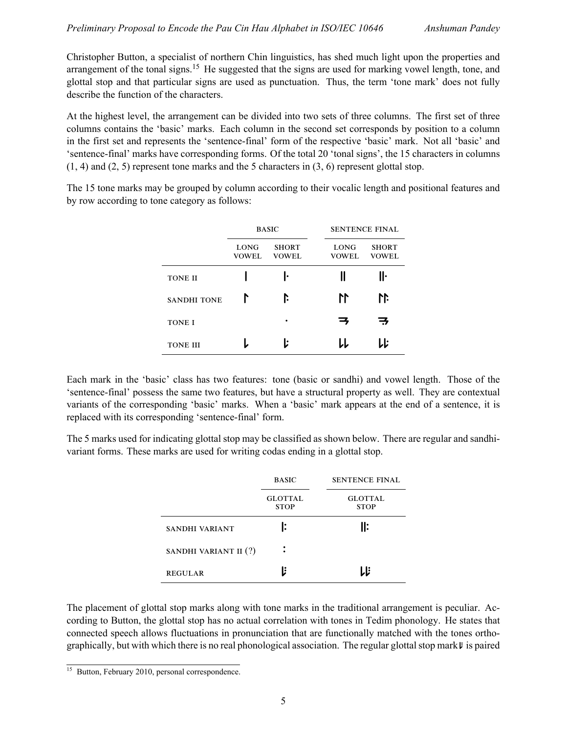Christopher Button, a specialist of northern Chin linguistics, has shed much light upon the properties and arrangement of the tonal signs.<sup>15</sup> He suggested that the signs are used for marking vowel length, tone, and glottal stop and that particular signs are used as punctuation. Thus, the term 'tone mark' does not fully describe the function of the characters.

At the highest level, the arrangement can be divided into two sets of three columns. The first set of three columns contains the 'basic' marks. Each column in the second set corresponds by position to a column in the first set and represents the 'sentence-final' form of the respective 'basic' mark. Not all 'basic' and 'sentence-final' marks have corresponding forms. Of the total 20 'tonal signs', the 15 characters in columns  $(1, 4)$  and  $(2, 5)$  represent tone marks and the 5 characters in  $(3, 6)$  represent glottal stop.

The 15 tone marks may be grouped by column according to their vocalic length and positional features and by row according to tone category as follows:

|                    |                      | <b>BASIC</b>                 |                      | <b>SENTENCE FINAL</b>        |  |  |
|--------------------|----------------------|------------------------------|----------------------|------------------------------|--|--|
|                    | LONG<br><b>VOWEL</b> | <b>SHORT</b><br><b>VOWEL</b> | LONG<br><b>VOWEL</b> | <b>SHORT</b><br><b>VOWEL</b> |  |  |
| <b>TONE II</b>     |                      | ı.                           |                      | Iŀ                           |  |  |
| <b>SANDHI TONE</b> | r                    | ľ.                           | 11                   | 11                           |  |  |
| <b>TONE I</b>      |                      | ٠                            | ц,                   | 7                            |  |  |
| <b>TONE III</b>    |                      | Ŀ                            | IJ                   | LĿ                           |  |  |

Each mark in the 'basic' class has two features: tone (basic or sandhi) and vowel length. Those of the 'sentence-final' possess the same two features, but have a structural property as well. They are contextual variants of the corresponding 'basic' marks. When a 'basic' mark appears at the end of a sentence, it is replaced with its corresponding 'sentence-final' form.

The 5 marks used for indicating glottal stop may be classified as shown below. There are regular and sandhivariant forms. These marks are used for writing codas ending in a glottal stop.

|                       | <b>BASIC</b>                  | <b>SENTENCE FINAL</b>         |
|-----------------------|-------------------------------|-------------------------------|
|                       | <b>GLOTTAL</b><br><b>STOP</b> | <b>GLOTTAL</b><br><b>STOP</b> |
| SANDHI VARIANT        | l:                            | ll:                           |
| SANDHI VARIANT II (?) | ٠                             |                               |
| <b>REGULAR</b>        | l:                            |                               |

The placement of glottal stop marks along with tone marks in the traditional arrangement is peculiar. According to Button, the glottal stop has no actual correlation with tones in Tedim phonology. He states that connected speech allows fluctuations in pronunciation that are functionally matched with the tones orthographically, but with which there is no real phonological association. The regular glottal stop mark  $\mu$  is paired

<sup>15</sup> Button, February 2010, personal correspondence.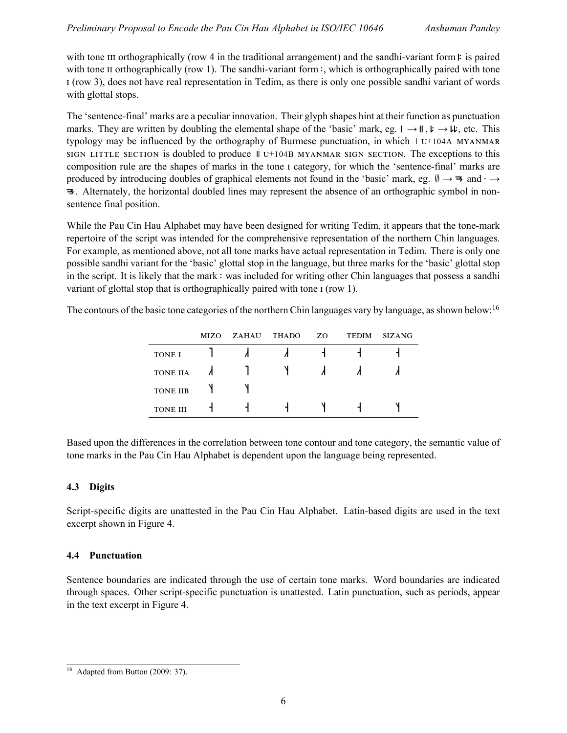with tone  $\mu$  orthographically (row 4 in the traditional arrangement) and the sandhi-variant form  $\mu$ : is paired with tone  $\pi$  orthographically (row 1). The sandhi-variant form : which is orthographically paired with tone (row 3), does not have real representation in Tedim, as there is only one possible sandhi variant of words with glottal stops.

The 'sentence-final' marks are a peculiar innovation. Their glyph shapes hint at their function as punctuation marks. They are written by doubling the elemental shape of the 'basic' mark, eg. → , → , etc. This typology may be influenced by the orthography of Burmese punctuation, in which  $\pm 0.11$   $\pm 104$   $\pm 104$   $\pm 104$   $\pm 104$ SIGN LITTLE SECTION is doubled to produce  $\parallel$  U<sup>+104B</sup> MYANMAR SIGN SECTION. The exceptions to this composition rule are the shapes of marks in the tone I category, for which the 'sentence-final' marks are produced by introducing doubles of graphical elements not found in the 'basic' mark, eg.  $\emptyset \rightarrow \mathbf{\Rightarrow}$  and  $\cdot \rightarrow$ . Alternately, the horizontal doubled lines may represent the absence of an orthographic symbol in nonsentence final position.

While the Pau Cin Hau Alphabet may have been designed for writing Tedim, it appears that the tone-mark repertoire of the script was intended for the comprehensive representation of the northern Chin languages. For example, as mentioned above, not all tone marks have actual representation in Tedim. There is only one possible sandhi variant for the 'basic' glottal stop in the language, but three marks for the 'basic' glottal stop in the script. It is likely that the mark : was included for writing other Chin languages that possess a sandhi variant of glottal stop that is orthographically paired with tone I (row 1).

The contours of the basic tone categories of the northern Chin languages vary by language, as shown below:<sup>16</sup>

|                 | MIZO. | ZAHAU | <b>THADO</b> | ZO. | <b>TEDIM</b> | <b>SIZANG</b> |
|-----------------|-------|-------|--------------|-----|--------------|---------------|
| <b>TONE I</b>   |       |       |              |     |              |               |
| <b>TONE IIA</b> |       |       |              |     |              |               |
| <b>TONE IIB</b> |       |       |              |     |              |               |
| <b>TONE III</b> |       |       |              |     |              |               |

Based upon the differences in the correlation between tone contour and tone category, the semantic value of tone marks in the Pau Cin Hau Alphabet is dependent upon the language being represented.

## **4.3 Digits**

Script-specific digits are unattested in the Pau Cin Hau Alphabet. Latin-based digits are used in the text excerpt shown in Figure 4.

## **4.4 Punctuation**

Sentence boundaries are indicated through the use of certain tone marks. Word boundaries are indicated through spaces. Other script-specific punctuation is unattested. Latin punctuation, such as periods, appear in the text excerpt in Figure 4.

 $16$  Adapted from Button (2009: 37).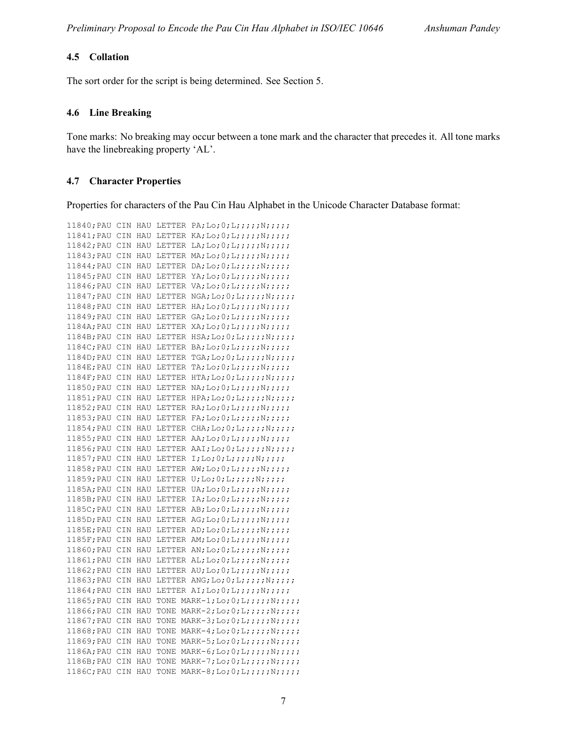#### **4.5 Collation**

The sort order for the script is being determined. See Section 5.

#### **4.6 Line Breaking**

Tone marks: No breaking may occur between a tone mark and the character that precedes it. All tone marks have the linebreaking property 'AL'.

#### **4.7 Character Properties**

Properties for characters of the Pau Cin Hau Alphabet in the Unicode Character Database format:

```
11840; PAU CIN HAU LETTER PA; Lo; 0; L;;;;;N;;;;;;
11841; PAU CIN HAU LETTER KA; Lo; 0; L;;;;;;N;;;;;
11842; PAU CIN HAU LETTER LA; Lo; 0; L;;;;;;N;;;;;
11843; PAU CIN HAU LETTER MA; Lo; 0; L;;;;;; N;;;;;
11844;PAU CIN HAU LETTER DA;Lo;0;L;;;;;N;;;;;
11845; PAU CIN HAU LETTER YA; Lo; 0;L;;;;;;N;;;;;
11846;PAU CIN HAU LETTER VA;Lo;0;L;;;;;N;;;;;
11847; PAU CIN HAU LETTER NGA; Lo; 0; L;;;;; N;;;;;;
11848;PAU CIN HAU LETTER HA;Lo;0;L;;;;;N;;;;;;
11849; PAU CIN HAU LETTER GA; Lo; 0; L; ;;;; N;;;;;1184A; PAU CIN HAU LETTER XA; Lo; 0; L;;;;; N;;;;;;
1184B;PAU CIN HAU LETTER HSA;Lo;0;L;;;;;N;;;;;;
1184C; PAU CIN HAU LETTER BA; Lo; 0; L;;;;;;N;;;;;
1184D; PAU CIN HAU LETTER TGA; Lo; 0;L;j;j;N;j;j;1184E;PAU CIN HAU LETTER TA;Lo;0;L;;;;;N;;;;;
1184F;PAU CIN HAU LETTER HTA;Lo;0;L;;;;;;N;;;;;
11850; PAU CIN HAU LETTER NA; Lo; 0; L;;;;;;N;;;;;
11851; PAU CIN HAU LETTER HPA; Lo; 0; L;;;;; N;;;;;;
11852; PAU CIN HAU LETTER RA; Lo; 0; L;;;;; N;;;;;;
11853;PAU CIN HAU LETTER FA;Lo;0;L;;;;;N;;;;;
11854; PAU CIN HAU LETTER CHA; Lo; 0; L;;;;; N;;;;;;
11855; PAU CIN HAU LETTER AA; Lo; 0;L;;;;;N;;;;;
11856; PAU CIN HAU LETTER AAI; Lo; 0; L;;;;; N;;;;;;
11857; PAU CIN HAU LETTER I;Lo;0;L;;;;;N;;;;;11858;PAU CIN HAU LETTER AW;Lo;0;L;;;;;N;;;;;
11859; PAU CIN HAU LETTER U; Lo; 0; L;;;;; N;;;;;;
1185A; PAU CIN HAU LETTER UA; Lo; 0;L;j;j;N;j;j;1185B; PAU CIN HAU LETTER IA; Lo; 0;L;;;;;;N;;;;;
1185C; PAU CIN HAU LETTER AB; Lo; 0;L;;;;;;N;;;;;
1185D; PAU CIN HAU LETTER AG; Lo; 0; L;;;;;;N;;;;;
1185E; PAU CIN HAU LETTER AD; Lo; 0; L;;;;;;N;;;;;
1185F; PAU CIN HAU LETTER AM; Lo; 0; L;;;;; N;;;;;;
11860;PAU CIN HAU LETTER AN;Lo;0;L;;;;;N;;;;;
11861; PAU CIN HAU LETTER AL; Lo; 0;L;;;;;;N;;;;;
11862; PAU CIN HAU LETTER AU; Lo; 0;L;;;;;N;;;;;
11863; PAU CIN HAU LETTER ANG; Lo; 0; L;;;;;;N;;;;;
11864; PAU CIN HAU LETTER AI; Lo; 0; L;;;;; N;;;;;;
11865; PAU CIN HAU TONE MARK-1; Lo; 0;L;;;;;N;;;;;
11866; PAU CIN HAU TONE MARK-2; Lo; 0; L;;;;;;N;;;;;
11867; PAU CIN HAU TONE MARK-3; Lo; 0;L;j;j;N;j;j;11868; PAU CIN HAU TONE MARK-4; Lo; 0;L;;;;;N;;;;;
11869;PAU CIN HAU TONE MARK-5;Lo;0;L;;;;;N;;;;;;
1186A;PAU CIN HAU TONE MARK-6;Lo;0;L;;;;;N;;;;;
1186B; PAU CIN HAU TONE MARK-7; Lo; 0; L;;;;;; N;;;;;
1186C;PAU CIN HAU TONE MARK-8;Lo;0;L;;;;;N;;;;;;
```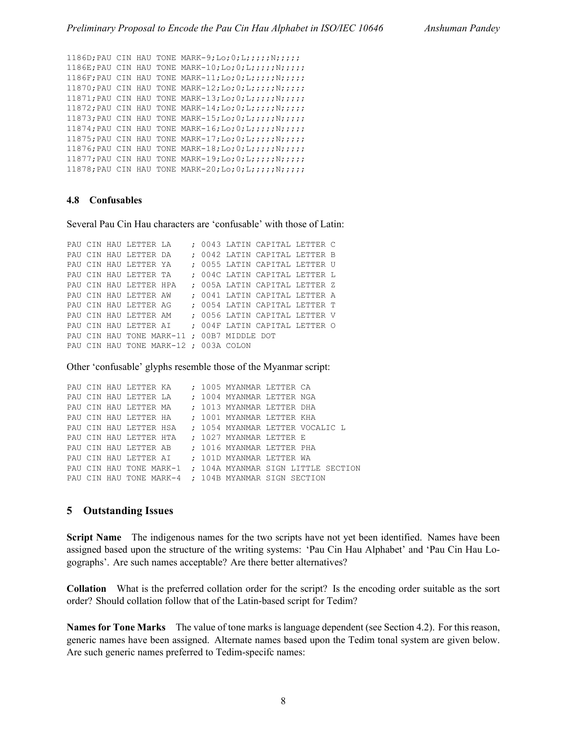```
1186D;PAU CIN HAU TONE MARK-9;Lo;0;L;;;;;N;;;;;
1186E;PAU CIN HAU TONE MARK-10;Lo;0;L;;;;;N;;;;;
1186F;PAU CIN HAU TONE MARK-11;Lo;0;L;;;;;N;;;;;
11870;PAU CIN HAU TONE MARK-12;Lo;0;L;;;;;N;;;;;
11871; PAU CIN HAU TONE MARK-13; Lo; 0;L;;;;;;N;;;;;
11872; PAU CIN HAU TONE MARK-14; Lo; 0;L;;;;;N;;;;;
11873;PAU CIN HAU TONE MARK-15;Lo;0;L;;;;;N;;;;;
11874; PAU CIN HAU TONE MARK-16; Lo; 0;L;j;j;N;j;j;11875; PAU CIN HAU TONE MARK-17; Lo; 0; L;;;;;; N;;;;;
11876; PAU CIN HAU TONE MARK-18; Lo; 0;L;;;;;N;;;;;
11877; PAU CIN HAU TONE MARK-19; Lo; 0;L;;;;;;N;;;;;
11878; PAU CIN HAU TONE MARK-20; Lo; 0;L;j;j;N;j;j;
```
#### **4.8 Confusables**

Several Pau Cin Hau characters are 'confusable' with those of Latin:

```
PAU CIN HAU LETTER LA ; 0043 LATIN CAPITAL LETTER C
PAU CIN HAU LETTER DA ; 0042 LATIN CAPITAL LETTER B
PAU CIN HAU LETTER YA ; 0055 LATIN CAPITAL LETTER U
PAU CIN HAU LETTER TA ; 004C LATIN CAPITAL LETTER L
PAU CIN HAU LETTER HPA ; 005A LATIN CAPITAL LETTER Z
PAU CIN HAU LETTER AW ; 0041 LATIN CAPITAL LETTER A
PAU CIN HAU LETTER AG ; 0054 LATIN CAPITAL LETTER T
PAU CIN HAU LETTER AM ; 0056 LATIN CAPITAL LETTER V
PAU CIN HAU LETTER AI ; 004F LATIN CAPITAL LETTER O
PAU CIN HAU TONE MARK-11 ; 00B7 MIDDLE DOT
PAU CIN HAU TONE MARK-12 ; 003A COLON
```
Other 'confusable' glyphs resemble those of the Myanmar script:

```
PAU CIN HAU LETTER KA ; 1005 MYANMAR LETTER CA
PAU CIN HAU LETTER LA ; 1004 MYANMAR LETTER NGA
PAU CIN HAU LETTER MA ; 1013 MYANMAR LETTER DHA
PAU CIN HAU LETTER HA ; 1001 MYANMAR LETTER KHA
PAU CIN HAU LETTER HSA ; 1054 MYANMAR LETTER VOCALIC L
PAU CIN HAU LETTER HTA ; 1027 MYANMAR LETTER E
PAU CIN HAU LETTER AB ; 1016 MYANMAR LETTER PHA
PAU CIN HAU LETTER AI ; 101D MYANMAR LETTER WA
PAU CIN HAU TONE MARK-1 ; 104A MYANMAR SIGN LITTLE SECTION
PAU CIN HAU TONE MARK-4 ; 104B MYANMAR SIGN SECTION
```
#### **5 Outstanding Issues**

**Script Name** The indigenous names for the two scripts have not yet been identified. Names have been assigned based upon the structure of the writing systems: 'Pau Cin Hau Alphabet' and 'Pau Cin Hau Logographs'. Are such names acceptable? Are there better alternatives?

**Collation** What is the preferred collation order for the script? Is the encoding order suitable as the sort order? Should collation follow that of the Latin-based script for Tedim?

**Names for Tone Marks** The value of tone marks is language dependent (see Section 4.2). For this reason, generic names have been assigned. Alternate names based upon the Tedim tonal system are given below. Are such generic names preferred to Tedim-specifc names: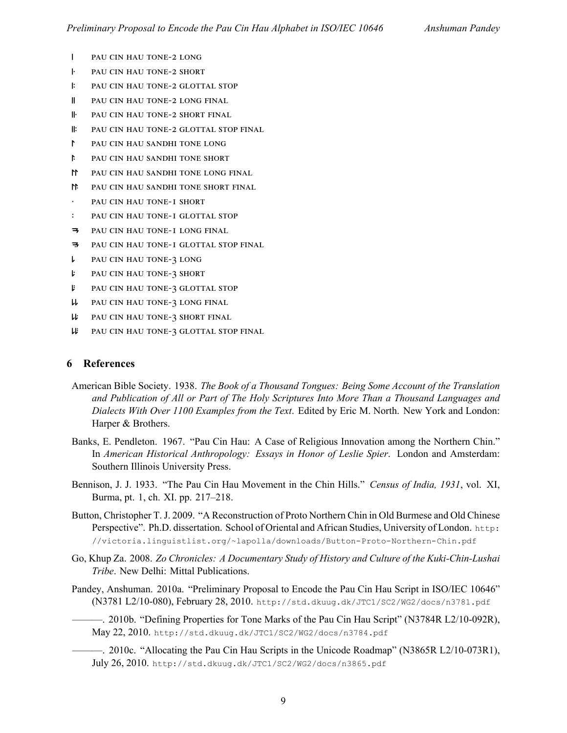- | PAU CIN HAU TONE-2 LONG
- **FEAU CIN HAU TONE-2 SHORT**
- : PAU CIN HAU TONE-2 GLOTTAL STOP
- **II** PAU CIN HAU TONE-2 LONG FINAL
- **II.** PAU CIN HAU TONE-2 SHORT FINAL
- **II:** PAU CIN HAU TONE-2 GLOTTAL STOP FINAL
- PAU CIN HAU SANDHI TONE LONG
- PAU CIN HAU SANDHI TONE SHORT
- M PAU CIN HAU SANDHI TONE LONG FINAL
- T PAU CIN HAU SANDHI TONE SHORT FINAL
- PAU CIN HAU TONE-I SHORT
- : PAU CIN HAU TONE-I GLOTTAL STOP
- **3** PAU CIN HAU TONE-I LONG FINAL
- **3** PAU CIN HAU TONE-I GLOTTAL STOP FINAL
- **L** PAU CIN HAU TONE-3 LONG
- **2** PAU CIN HAU TONE-3 SHORT
- **FAU CIN HAU TONE-3 GLOTTAL STOP**
- **W** PAU CIN HAU TONE-3 LONG FINAL
- W PAU CIN HAU TONE-3 SHORT FINAL
- **W** PAU CIN HAU TONE-3 GLOTTAL STOP FINAL

#### **6 References**

- American Bible Society. 1938. *The Book of a Thousand Tongues: Being Some Account of the Translation and Publication of All or Part of The Holy Scriptures Into More Than a Thousand Languages and Dialects With Over 1100 Examples from the Text*. Edited by Eric M. North. New York and London: Harper & Brothers.
- Banks, E. Pendleton. 1967. "Pau Cin Hau: A Case of Religious Innovation among the Northern Chin." In *American Historical Anthropology: Essays in Honor of Leslie Spier*. London and Amsterdam: Southern Illinois University Press.
- Bennison, J. J. 1933. "The Pau Cin Hau Movement in the Chin Hills." *Census of India, 1931*, vol. XI, Burma, pt. 1, ch. XI. pp. 217–218.
- Button, Christopher T. J. 2009. "A Reconstruction of Proto Northern Chin in Old Burmese and Old Chinese Perspective". Ph.D. dissertation. School of Oriental and African Studies, University of London. http: //victoria.linguistlist.org/~lapolla/downloads/Button-Proto-Northern-Chin.pdf
- Go, Khup Za. 2008. *Zo Chronicles: A Documentary Study of History and Culture of the Kuki-Chin-Lushai Tribe*. New Delhi: Mittal Publications.
- Pandey, Anshuman. 2010a. "Preliminary Proposal to Encode the Pau Cin Hau Script in ISO/IEC 10646" (N3781 L2/10-080), February 28, 2010. http://std.dkuug.dk/JTC1/SC2/WG2/docs/n3781.pdf
	- ———. 2010b. "Defining Properties for Tone Marks of the Pau Cin Hau Script" (N3784R L2/10-092R), May 22, 2010. http://std.dkuug.dk/JTC1/SC2/WG2/docs/n3784.pdf
	- ———. 2010c. "Allocating the Pau Cin Hau Scripts in the Unicode Roadmap" (N3865R L2/10-073R1), July 26, 2010. http://std.dkuug.dk/JTC1/SC2/WG2/docs/n3865.pdf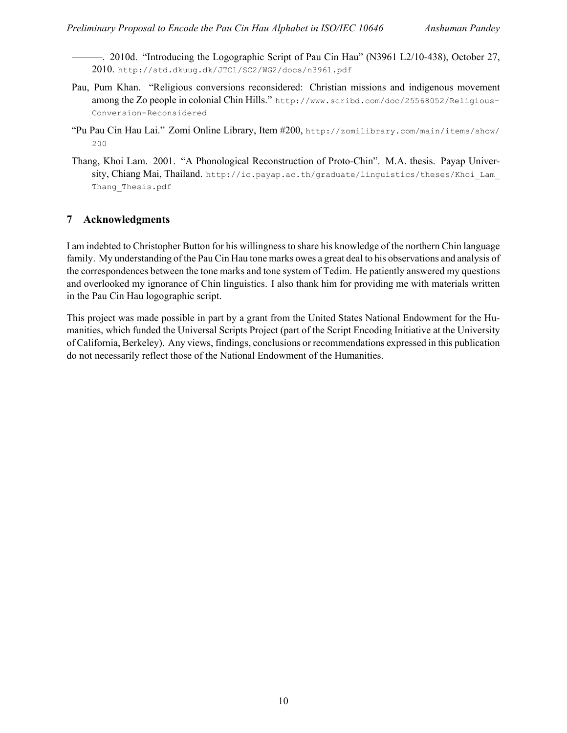———. 2010d. "Introducing the Logographic Script of Pau Cin Hau" (N3961 L2/10-438), October 27, 2010. http://std.dkuug.dk/JTC1/SC2/WG2/docs/n3961.pdf

- Pau, Pum Khan. "Religious conversions reconsidered: Christian missions and indigenous movement among the Zo people in colonial Chin Hills." http://www.scribd.com/doc/25568052/Religious-Conversion-Reconsidered
- "Pu Pau Cin Hau Lai." Zomi Online Library, Item #200, http://zomilibrary.com/main/items/show/ 200
- Thang, Khoi Lam. 2001. "A Phonological Reconstruction of Proto-Chin". M.A. thesis. Payap University, Chiang Mai, Thailand. http://ic.payap.ac.th/graduate/linguistics/theses/Khoi Lam Thang Thesis.pdf

## **7 Acknowledgments**

I am indebted to Christopher Button for his willingness to share his knowledge of the northern Chin language family. My understanding of the Pau Cin Hau tone marks owes a great deal to his observations and analysis of the correspondences between the tone marks and tone system of Tedim. He patiently answered my questions and overlooked my ignorance of Chin linguistics. I also thank him for providing me with materials written in the Pau Cin Hau logographic script.

This project was made possible in part by a grant from the United States National Endowment for the Humanities, which funded the Universal Scripts Project (part of the Script Encoding Initiative at the University of California, Berkeley). Any views, findings, conclusions or recommendations expressed in this publication do not necessarily reflect those of the National Endowment of the Humanities.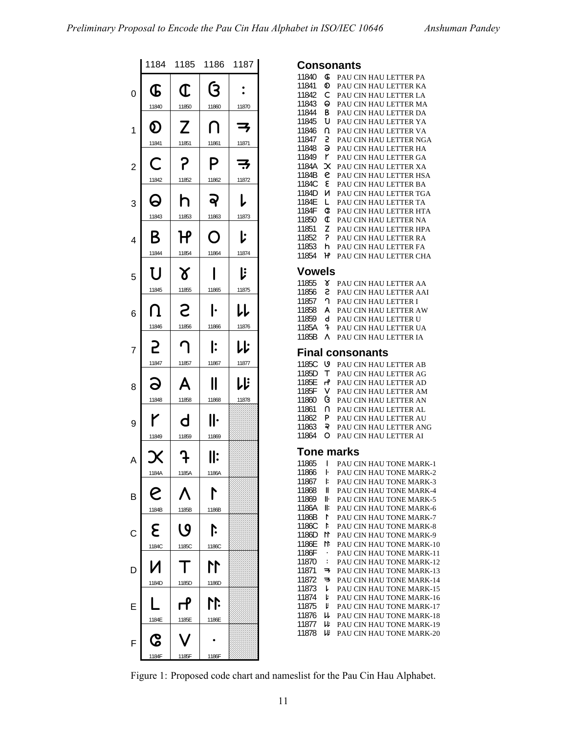|                |                     | 1184 1185 1186                 |                     | 1187                |
|----------------|---------------------|--------------------------------|---------------------|---------------------|
| 0              | Œ                   | Œ                              | ઉ                   |                     |
| 1              | 11840<br>Ø<br>11841 | 11850<br>Z<br>11851            | 11860<br>7          | 11870<br>子<br>11871 |
| $\overline{c}$ | С<br>11842          | P<br>11852                     | 11861<br>P<br>11862 | 子<br>11872          |
| 3              | Q<br>11843          | h<br>11853                     | Q<br>11863          | L<br>11873          |
| 4              | Β<br>11844          | ዦ<br>11854                     | ∩<br>11864          | ŀ<br>11874          |
| 5              | U<br>11845          | $\boldsymbol{\delta}$<br>11855 | 11865               | ľ<br>11875          |
| 6              | Ո<br>11846          | 5<br>11856                     | ŀ<br>11866          | レレ<br>11876         |
| 7              | 2<br>11847          | 11857                          | I:<br>11867         | レド<br>11877         |
| 8              | 11848               | 11858                          | 11868               | しじ<br>11878         |
| 9              | r<br>11849          | d<br>11859                     | II۰<br>11869        |                     |
| A              | 1184A               | 1185A                          | ll:<br>1186A        |                     |
| $\overline{B}$ | S<br>1184B          | Λ<br>1185B                     | Г<br>1186B          |                     |
| $\overline{c}$ | ع<br>1184C          | ပ<br>1185C                     | ļ.<br>1186C         |                     |
| D              | И<br>1184D          | 1185D                          | M<br>1186D          |                     |
| E              | 1184E               | ்<br>1185E                     | 11<br>1186E         |                     |
| F              | ငွ                  |                                |                     |                     |

1184F 1185F 1186F

| Consonants<br>11840<br><b>G</b><br>PAU CIN HAU LETTER PA<br>11841<br>စ<br>PAU CIN HAU LETTER KA<br>11842<br>C<br>PAU CIN HAU LETTER LA<br>11843<br>Θ<br>PAU CIN HAU LETTER MA<br>11844<br>В<br>PAU CIN HAU LETTER DA<br>11845<br>U<br>PAU CIN HAU LETTER YA<br>11846<br>PAU CIN HAU LETTER VA<br>n<br>11847<br>5<br>PAU CIN HAU LETTER NGA<br>11848<br>э<br>PAU CIN HAU LETTER HA<br>11849<br>r<br>PAU CIN HAU LETTER GA<br>1184A<br>$\boldsymbol{\mathsf{x}}$<br>PAU CIN HAU LETTER XA<br>1184B<br>e<br>PAU CIN HAU LETTER HSA<br>1184C<br>٤<br>PAU CIN HAU LETTER BA<br>1184D<br>и<br>PAU CIN HAU LETTER TGA<br>1184E<br>L<br>PAU CIN HAU LETTER TA<br>1184F<br>C<br>PAU CIN HAU LETTER HTA<br>11850<br>¢<br>PAU CIN HAU LETTER NA<br>11851<br>PAU CIN HAU LETTER HPA<br>z<br>2<br>11852<br>PAU CIN HAU LETTER RA<br>11853<br>PAU CIN HAU LETTER FA<br>h<br>11854<br>PAU CIN HAU LETTER CHA<br>۲Ρ<br>Vowels<br>11855<br>៵<br>PAU CIN HAU LETTER AA<br>11856<br>s<br>PAU CIN HAU LETTER AAI<br>11857<br>ባ<br>PAU CIN HAU LETTER I<br>11858<br>PAU CIN HAU LETTER AW<br>A<br>11859<br>d<br>PAU CIN HAU LETTER U<br>1185A<br>t<br>PAU CIN HAU LETTER UA<br>1185B<br>٨<br>PAU CIN HAU LETTER IA<br><b>Final consonants</b><br>1185C<br>७<br>PAU CIN HAU LETTER AB<br>1185D<br>т<br>PAU CIN HAU LETTER AG<br>1185E<br>PAU CIN HAU LETTER AD<br>ҥ<br>1185F<br>PAU CIN HAU LETTER AM<br>v<br>11860<br>ઉ<br>PAU CIN HAU LETTER AN<br>11861<br>N<br>PAU CIN HAU LETTER AL<br>11862<br>PAU CIN HAU LETTER AU<br>P<br>11863<br>ఫె<br>PAU CIN HAU LETTER ANG<br>11864<br>o<br>PAU CIN HAU LETTER AI<br>Tone marks<br>11865<br>I<br>PAU CIN HAU TONE MARK-1<br>11866<br>PAU CIN HAU TONE MARK-2<br>ŀ<br>11867<br>PAU CIN HAU TONE MARK-3<br>ŀ<br>11868<br>PAU CIN HAU TONE MARK-4<br>II<br>11869<br>PAU CIN HAU TONE MARK-5<br>Iŀ<br>PAU CIN HAU TONE MARK-6<br>1186A<br>ll:<br>PAU CIN HAU TONE MARK-7<br>1186B<br>r |  |  |
|------------------------------------------------------------------------------------------------------------------------------------------------------------------------------------------------------------------------------------------------------------------------------------------------------------------------------------------------------------------------------------------------------------------------------------------------------------------------------------------------------------------------------------------------------------------------------------------------------------------------------------------------------------------------------------------------------------------------------------------------------------------------------------------------------------------------------------------------------------------------------------------------------------------------------------------------------------------------------------------------------------------------------------------------------------------------------------------------------------------------------------------------------------------------------------------------------------------------------------------------------------------------------------------------------------------------------------------------------------------------------------------------------------------------------------------------------------------------------------------------------------------------------------------------------------------------------------------------------------------------------------------------------------------------------------------------------------------------------------------------------------------------------------------------------------------------------------------------------------------------------------------------------------|--|--|
|                                                                                                                                                                                                                                                                                                                                                                                                                                                                                                                                                                                                                                                                                                                                                                                                                                                                                                                                                                                                                                                                                                                                                                                                                                                                                                                                                                                                                                                                                                                                                                                                                                                                                                                                                                                                                                                                                                            |  |  |
|                                                                                                                                                                                                                                                                                                                                                                                                                                                                                                                                                                                                                                                                                                                                                                                                                                                                                                                                                                                                                                                                                                                                                                                                                                                                                                                                                                                                                                                                                                                                                                                                                                                                                                                                                                                                                                                                                                            |  |  |
|                                                                                                                                                                                                                                                                                                                                                                                                                                                                                                                                                                                                                                                                                                                                                                                                                                                                                                                                                                                                                                                                                                                                                                                                                                                                                                                                                                                                                                                                                                                                                                                                                                                                                                                                                                                                                                                                                                            |  |  |
|                                                                                                                                                                                                                                                                                                                                                                                                                                                                                                                                                                                                                                                                                                                                                                                                                                                                                                                                                                                                                                                                                                                                                                                                                                                                                                                                                                                                                                                                                                                                                                                                                                                                                                                                                                                                                                                                                                            |  |  |
|                                                                                                                                                                                                                                                                                                                                                                                                                                                                                                                                                                                                                                                                                                                                                                                                                                                                                                                                                                                                                                                                                                                                                                                                                                                                                                                                                                                                                                                                                                                                                                                                                                                                                                                                                                                                                                                                                                            |  |  |
|                                                                                                                                                                                                                                                                                                                                                                                                                                                                                                                                                                                                                                                                                                                                                                                                                                                                                                                                                                                                                                                                                                                                                                                                                                                                                                                                                                                                                                                                                                                                                                                                                                                                                                                                                                                                                                                                                                            |  |  |
|                                                                                                                                                                                                                                                                                                                                                                                                                                                                                                                                                                                                                                                                                                                                                                                                                                                                                                                                                                                                                                                                                                                                                                                                                                                                                                                                                                                                                                                                                                                                                                                                                                                                                                                                                                                                                                                                                                            |  |  |
|                                                                                                                                                                                                                                                                                                                                                                                                                                                                                                                                                                                                                                                                                                                                                                                                                                                                                                                                                                                                                                                                                                                                                                                                                                                                                                                                                                                                                                                                                                                                                                                                                                                                                                                                                                                                                                                                                                            |  |  |
|                                                                                                                                                                                                                                                                                                                                                                                                                                                                                                                                                                                                                                                                                                                                                                                                                                                                                                                                                                                                                                                                                                                                                                                                                                                                                                                                                                                                                                                                                                                                                                                                                                                                                                                                                                                                                                                                                                            |  |  |
|                                                                                                                                                                                                                                                                                                                                                                                                                                                                                                                                                                                                                                                                                                                                                                                                                                                                                                                                                                                                                                                                                                                                                                                                                                                                                                                                                                                                                                                                                                                                                                                                                                                                                                                                                                                                                                                                                                            |  |  |
|                                                                                                                                                                                                                                                                                                                                                                                                                                                                                                                                                                                                                                                                                                                                                                                                                                                                                                                                                                                                                                                                                                                                                                                                                                                                                                                                                                                                                                                                                                                                                                                                                                                                                                                                                                                                                                                                                                            |  |  |
|                                                                                                                                                                                                                                                                                                                                                                                                                                                                                                                                                                                                                                                                                                                                                                                                                                                                                                                                                                                                                                                                                                                                                                                                                                                                                                                                                                                                                                                                                                                                                                                                                                                                                                                                                                                                                                                                                                            |  |  |
|                                                                                                                                                                                                                                                                                                                                                                                                                                                                                                                                                                                                                                                                                                                                                                                                                                                                                                                                                                                                                                                                                                                                                                                                                                                                                                                                                                                                                                                                                                                                                                                                                                                                                                                                                                                                                                                                                                            |  |  |
|                                                                                                                                                                                                                                                                                                                                                                                                                                                                                                                                                                                                                                                                                                                                                                                                                                                                                                                                                                                                                                                                                                                                                                                                                                                                                                                                                                                                                                                                                                                                                                                                                                                                                                                                                                                                                                                                                                            |  |  |
|                                                                                                                                                                                                                                                                                                                                                                                                                                                                                                                                                                                                                                                                                                                                                                                                                                                                                                                                                                                                                                                                                                                                                                                                                                                                                                                                                                                                                                                                                                                                                                                                                                                                                                                                                                                                                                                                                                            |  |  |
|                                                                                                                                                                                                                                                                                                                                                                                                                                                                                                                                                                                                                                                                                                                                                                                                                                                                                                                                                                                                                                                                                                                                                                                                                                                                                                                                                                                                                                                                                                                                                                                                                                                                                                                                                                                                                                                                                                            |  |  |
|                                                                                                                                                                                                                                                                                                                                                                                                                                                                                                                                                                                                                                                                                                                                                                                                                                                                                                                                                                                                                                                                                                                                                                                                                                                                                                                                                                                                                                                                                                                                                                                                                                                                                                                                                                                                                                                                                                            |  |  |
|                                                                                                                                                                                                                                                                                                                                                                                                                                                                                                                                                                                                                                                                                                                                                                                                                                                                                                                                                                                                                                                                                                                                                                                                                                                                                                                                                                                                                                                                                                                                                                                                                                                                                                                                                                                                                                                                                                            |  |  |
|                                                                                                                                                                                                                                                                                                                                                                                                                                                                                                                                                                                                                                                                                                                                                                                                                                                                                                                                                                                                                                                                                                                                                                                                                                                                                                                                                                                                                                                                                                                                                                                                                                                                                                                                                                                                                                                                                                            |  |  |
|                                                                                                                                                                                                                                                                                                                                                                                                                                                                                                                                                                                                                                                                                                                                                                                                                                                                                                                                                                                                                                                                                                                                                                                                                                                                                                                                                                                                                                                                                                                                                                                                                                                                                                                                                                                                                                                                                                            |  |  |
|                                                                                                                                                                                                                                                                                                                                                                                                                                                                                                                                                                                                                                                                                                                                                                                                                                                                                                                                                                                                                                                                                                                                                                                                                                                                                                                                                                                                                                                                                                                                                                                                                                                                                                                                                                                                                                                                                                            |  |  |
|                                                                                                                                                                                                                                                                                                                                                                                                                                                                                                                                                                                                                                                                                                                                                                                                                                                                                                                                                                                                                                                                                                                                                                                                                                                                                                                                                                                                                                                                                                                                                                                                                                                                                                                                                                                                                                                                                                            |  |  |
|                                                                                                                                                                                                                                                                                                                                                                                                                                                                                                                                                                                                                                                                                                                                                                                                                                                                                                                                                                                                                                                                                                                                                                                                                                                                                                                                                                                                                                                                                                                                                                                                                                                                                                                                                                                                                                                                                                            |  |  |
|                                                                                                                                                                                                                                                                                                                                                                                                                                                                                                                                                                                                                                                                                                                                                                                                                                                                                                                                                                                                                                                                                                                                                                                                                                                                                                                                                                                                                                                                                                                                                                                                                                                                                                                                                                                                                                                                                                            |  |  |
|                                                                                                                                                                                                                                                                                                                                                                                                                                                                                                                                                                                                                                                                                                                                                                                                                                                                                                                                                                                                                                                                                                                                                                                                                                                                                                                                                                                                                                                                                                                                                                                                                                                                                                                                                                                                                                                                                                            |  |  |
|                                                                                                                                                                                                                                                                                                                                                                                                                                                                                                                                                                                                                                                                                                                                                                                                                                                                                                                                                                                                                                                                                                                                                                                                                                                                                                                                                                                                                                                                                                                                                                                                                                                                                                                                                                                                                                                                                                            |  |  |
|                                                                                                                                                                                                                                                                                                                                                                                                                                                                                                                                                                                                                                                                                                                                                                                                                                                                                                                                                                                                                                                                                                                                                                                                                                                                                                                                                                                                                                                                                                                                                                                                                                                                                                                                                                                                                                                                                                            |  |  |
|                                                                                                                                                                                                                                                                                                                                                                                                                                                                                                                                                                                                                                                                                                                                                                                                                                                                                                                                                                                                                                                                                                                                                                                                                                                                                                                                                                                                                                                                                                                                                                                                                                                                                                                                                                                                                                                                                                            |  |  |
|                                                                                                                                                                                                                                                                                                                                                                                                                                                                                                                                                                                                                                                                                                                                                                                                                                                                                                                                                                                                                                                                                                                                                                                                                                                                                                                                                                                                                                                                                                                                                                                                                                                                                                                                                                                                                                                                                                            |  |  |
|                                                                                                                                                                                                                                                                                                                                                                                                                                                                                                                                                                                                                                                                                                                                                                                                                                                                                                                                                                                                                                                                                                                                                                                                                                                                                                                                                                                                                                                                                                                                                                                                                                                                                                                                                                                                                                                                                                            |  |  |
|                                                                                                                                                                                                                                                                                                                                                                                                                                                                                                                                                                                                                                                                                                                                                                                                                                                                                                                                                                                                                                                                                                                                                                                                                                                                                                                                                                                                                                                                                                                                                                                                                                                                                                                                                                                                                                                                                                            |  |  |
|                                                                                                                                                                                                                                                                                                                                                                                                                                                                                                                                                                                                                                                                                                                                                                                                                                                                                                                                                                                                                                                                                                                                                                                                                                                                                                                                                                                                                                                                                                                                                                                                                                                                                                                                                                                                                                                                                                            |  |  |
|                                                                                                                                                                                                                                                                                                                                                                                                                                                                                                                                                                                                                                                                                                                                                                                                                                                                                                                                                                                                                                                                                                                                                                                                                                                                                                                                                                                                                                                                                                                                                                                                                                                                                                                                                                                                                                                                                                            |  |  |
|                                                                                                                                                                                                                                                                                                                                                                                                                                                                                                                                                                                                                                                                                                                                                                                                                                                                                                                                                                                                                                                                                                                                                                                                                                                                                                                                                                                                                                                                                                                                                                                                                                                                                                                                                                                                                                                                                                            |  |  |
|                                                                                                                                                                                                                                                                                                                                                                                                                                                                                                                                                                                                                                                                                                                                                                                                                                                                                                                                                                                                                                                                                                                                                                                                                                                                                                                                                                                                                                                                                                                                                                                                                                                                                                                                                                                                                                                                                                            |  |  |
|                                                                                                                                                                                                                                                                                                                                                                                                                                                                                                                                                                                                                                                                                                                                                                                                                                                                                                                                                                                                                                                                                                                                                                                                                                                                                                                                                                                                                                                                                                                                                                                                                                                                                                                                                                                                                                                                                                            |  |  |
|                                                                                                                                                                                                                                                                                                                                                                                                                                                                                                                                                                                                                                                                                                                                                                                                                                                                                                                                                                                                                                                                                                                                                                                                                                                                                                                                                                                                                                                                                                                                                                                                                                                                                                                                                                                                                                                                                                            |  |  |
|                                                                                                                                                                                                                                                                                                                                                                                                                                                                                                                                                                                                                                                                                                                                                                                                                                                                                                                                                                                                                                                                                                                                                                                                                                                                                                                                                                                                                                                                                                                                                                                                                                                                                                                                                                                                                                                                                                            |  |  |
|                                                                                                                                                                                                                                                                                                                                                                                                                                                                                                                                                                                                                                                                                                                                                                                                                                                                                                                                                                                                                                                                                                                                                                                                                                                                                                                                                                                                                                                                                                                                                                                                                                                                                                                                                                                                                                                                                                            |  |  |
|                                                                                                                                                                                                                                                                                                                                                                                                                                                                                                                                                                                                                                                                                                                                                                                                                                                                                                                                                                                                                                                                                                                                                                                                                                                                                                                                                                                                                                                                                                                                                                                                                                                                                                                                                                                                                                                                                                            |  |  |
|                                                                                                                                                                                                                                                                                                                                                                                                                                                                                                                                                                                                                                                                                                                                                                                                                                                                                                                                                                                                                                                                                                                                                                                                                                                                                                                                                                                                                                                                                                                                                                                                                                                                                                                                                                                                                                                                                                            |  |  |
|                                                                                                                                                                                                                                                                                                                                                                                                                                                                                                                                                                                                                                                                                                                                                                                                                                                                                                                                                                                                                                                                                                                                                                                                                                                                                                                                                                                                                                                                                                                                                                                                                                                                                                                                                                                                                                                                                                            |  |  |
|                                                                                                                                                                                                                                                                                                                                                                                                                                                                                                                                                                                                                                                                                                                                                                                                                                                                                                                                                                                                                                                                                                                                                                                                                                                                                                                                                                                                                                                                                                                                                                                                                                                                                                                                                                                                                                                                                                            |  |  |
|                                                                                                                                                                                                                                                                                                                                                                                                                                                                                                                                                                                                                                                                                                                                                                                                                                                                                                                                                                                                                                                                                                                                                                                                                                                                                                                                                                                                                                                                                                                                                                                                                                                                                                                                                                                                                                                                                                            |  |  |
|                                                                                                                                                                                                                                                                                                                                                                                                                                                                                                                                                                                                                                                                                                                                                                                                                                                                                                                                                                                                                                                                                                                                                                                                                                                                                                                                                                                                                                                                                                                                                                                                                                                                                                                                                                                                                                                                                                            |  |  |
|                                                                                                                                                                                                                                                                                                                                                                                                                                                                                                                                                                                                                                                                                                                                                                                                                                                                                                                                                                                                                                                                                                                                                                                                                                                                                                                                                                                                                                                                                                                                                                                                                                                                                                                                                                                                                                                                                                            |  |  |
|                                                                                                                                                                                                                                                                                                                                                                                                                                                                                                                                                                                                                                                                                                                                                                                                                                                                                                                                                                                                                                                                                                                                                                                                                                                                                                                                                                                                                                                                                                                                                                                                                                                                                                                                                                                                                                                                                                            |  |  |
|                                                                                                                                                                                                                                                                                                                                                                                                                                                                                                                                                                                                                                                                                                                                                                                                                                                                                                                                                                                                                                                                                                                                                                                                                                                                                                                                                                                                                                                                                                                                                                                                                                                                                                                                                                                                                                                                                                            |  |  |
|                                                                                                                                                                                                                                                                                                                                                                                                                                                                                                                                                                                                                                                                                                                                                                                                                                                                                                                                                                                                                                                                                                                                                                                                                                                                                                                                                                                                                                                                                                                                                                                                                                                                                                                                                                                                                                                                                                            |  |  |
|                                                                                                                                                                                                                                                                                                                                                                                                                                                                                                                                                                                                                                                                                                                                                                                                                                                                                                                                                                                                                                                                                                                                                                                                                                                                                                                                                                                                                                                                                                                                                                                                                                                                                                                                                                                                                                                                                                            |  |  |

1186C **F** PAU CIN HAU TONE MARK-8 1186D **N** PAU CIN HAU TONE MARK-9 1186E **N** PAU CIN HAU TONE MARK-10 1186F · PAU CIN HAU TONE MARK-11 11870 : PAU CIN HAU TONE MARK-12 **= PAU CIN HAU TONE MARK-13**  PAU CIN HAU TONE MARK-14 **L** PAU CIN HAU TONE MARK-15 **L** PAU CIN HAU TONE MARK-16 **F** PAU CIN HAU TONE MARK-17 **W** PAU CIN HAU TONE MARK-18  $\mu$  PAU CIN HAU TONE MARK-19 **W** PAU CIN HAU TONE MARK-20

Figure 1: Proposed code chart and nameslist for the Pau Cin Hau Alphabet.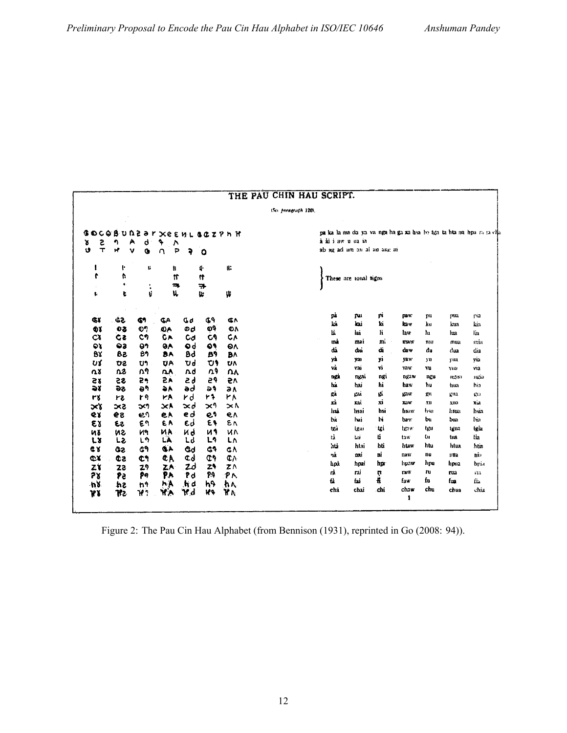|                 |                 |                     |    |         |                          |                  | iSce paragraph 1201. |                                                                      |                       |      |             |      |        |      |
|-----------------|-----------------|---------------------|----|---------|--------------------------|------------------|----------------------|----------------------------------------------------------------------|-----------------------|------|-------------|------|--------|------|
| G               |                 |                     |    |         | OCOBUDZƏ r XethL GOZPh H |                  |                      | paka la ma da ya va nga ha ga xa hsa be tga ta hta na hpa ra ta clia |                       |      |             |      |        |      |
| s<br>T<br>8     | 7               | Α<br>d              | ۹  | Λ       |                          |                  |                      | à ài i aw u ua ia                                                    |                       |      |             |      |        |      |
| Ù               | Ħ               | v<br>G              | n  | P<br>P  | $\circ$                  |                  |                      | ab ag ad am an al au ang ai                                          |                       |      |             |      |        |      |
| l               | ŀ               | ţ,                  |    | ff.     | 4                        | ü.               |                      |                                                                      |                       |      |             |      |        |      |
| t               | t,<br>$\bullet$ |                     |    | ٣       | Ħ                        |                  |                      |                                                                      | These are tonal signs |      |             |      |        |      |
| ţ.              | ŧ               | $\ddot{\cdot}$<br>¢ |    | 3<br>u, | ₩<br>u.                  | Ψ                |                      |                                                                      |                       |      |             |      |        |      |
|                 |                 |                     |    |         |                          |                  |                      |                                                                      |                       |      |             |      |        |      |
| Œč              | 33              | 61                  | ¢Α | G٥      | ቤዓ                       | Œ٨               |                      | pì                                                                   | rui                   | рi   | pay:        | pu   | pua    | ria  |
| Фï              | 98              | စ္ပက္               | ĐА | ød      | $\ddot{\mathbf{v}}$      | O٨               |                      | bà                                                                   | kai                   | ki   | kaw         | ku   | kua    | kia  |
| <b>CT</b>       | C2              | C٦                  | СA | Cd      | C9                       | C٨               |                      | Ŀ.                                                                   | iai                   | li   | law         | hı.  | lua    | lia  |
| 6ì.             | 93              | 91                  | 98 | ٥d      | 69                       | 6٨               |                      | mà                                                                   | mai                   | m.   | maw         | mu   | mua    | mia  |
| BY              | 58              | B٦                  | BΑ | Bd      | B9                       | B٨               |                      | dà                                                                   | dai                   | di   | daw         | đu   | dua    | dia  |
| ひば              | <b>DS</b>       | บา                  | UA | Ud      | U,                       | U٨               |                      | yà                                                                   | yas                   | yi   | yaw         | yu   | ym     | via  |
| $\Omega$        | n3              | ω۹                  | ٨A | Λd      | Λ۹                       | ΛĄ               |                      | và                                                                   | vai                   | ٧i   | vaw         | vu   | Viii   | via  |
| 58              | 55              | 29                  | 2Á | 59      | 56                       | 57               |                      | ngż                                                                  | ngai                  | ngi  | <b>DR1W</b> | ກຕູນ | 112110 | щек  |
| つく              | 56              | ಕ್                  | ЭA | əd      | 51                       | ā٨               |                      | hà                                                                   | hai                   | hi   | haw         | hu   | hua    | hia  |
| ٣š              | 12              | r۹                  | ٣A | rd      | 47                       | ۲۸               |                      | gà                                                                   | gui                   | gi   | gaw         | gц   | gna    | stia |
| $\propto$ ४     | 5×2             | つくり                 | ЖĂ | xd      | x٩                       | $\times \Lambda$ |                      | xì                                                                   | xai                   | xi   | XIW         | xu   | xua    | xia  |
| <b>QY</b>       | 59              | ديء                 | eA | e d     | e۹                       | e٨               |                      | hså                                                                  | hsai                  | hsi  | hsaw        | hsu  | hsua   | hsia |
| εı              | 53              | ٤٩                  | εA | εσ      | ٤٩                       | ٤٨               |                      | bà                                                                   | hai                   | bi   | baw.        | ы    | ៦ដោ    | bia  |
| ně              | иż              | N٩                  | ИA | Иq      | ИЯ                       | и٨               |                      | tra                                                                  | tgai                  | tçi  | heaw        | tgu  | tgua   | tgia |
| しと              | トン              | Ļ٩                  | LÀ | Ld      | L9                       | LΛ               |                      | tà                                                                   | tai                   | tí   | taw         | tu   | tua    | tia  |
| <b>CY</b>       | GS.             | ଟ୍ର                 | Ġ٨ | Gd      | G1                       | G٨               |                      | htà                                                                  | htai                  | hti  | htaw        | htu  | htua.  | htia |
| <b>CX</b>       | СZ              | ¢۹                  | ¢Ä | Φd      | ሮነ                       | ¢Λ               |                      | rå                                                                   | nai                   | ni   | naw         | nu   | nua    | nia  |
| zγ              | za              | 29                  | ZA | zd      | z٩                       | ZΛ               |                      | hpà                                                                  | hpai                  | hp   | hpaw        | hpu  | hpua   | hpia |
| 7X              | Pe              | pq                  | የአ | ?d      | 94                       | $P_{\Lambda}$    |                      | rà                                                                   | rai                   | ņ    | raw         | ru   | rua    | i Hi |
| $h\overline{g}$ | \$ń             | n۹                  | ኮል | hd      | h۹                       | ħ٨               |                      | tà.                                                                  | fai                   | Ĥ,   | faw         | fu   | fon    | fi.  |
| <b>WX</b>       | TP2.            | Υï                  | ዣአ | ٧d      | W٩                       | Y٨               |                      | chá                                                                  | chai                  | .chi | chaw        | chu  | chua   | chia |

Figure 2: The Pau Cin Hau Alphabet (from Bennison (1931), reprinted in Go (2008: 94)).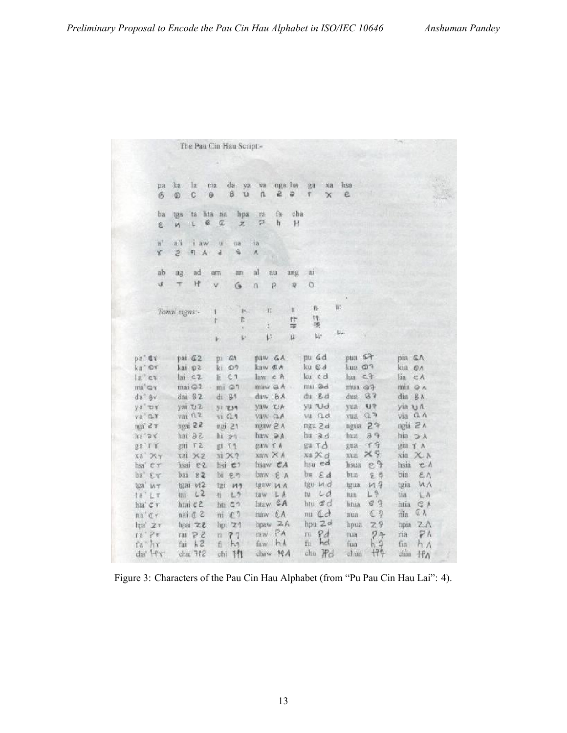|                               |                    |                        |                | The Pau Cin Hau Script:-      |          |           |                        |                |        |            |                               |        |                                      |  |
|-------------------------------|--------------------|------------------------|----------------|-------------------------------|----------|-----------|------------------------|----------------|--------|------------|-------------------------------|--------|--------------------------------------|--|
|                               |                    |                        |                |                               |          |           |                        |                |        |            |                               |        |                                      |  |
|                               |                    |                        |                |                               |          |           |                        |                |        |            |                               |        |                                      |  |
| pa                            | ka                 | la                     | ma             | da<br>ya                      | wa       |           | nga ha                 | 良雄             | Xа     | hsa        |                               |        |                                      |  |
| 6                             | $\circledcirc$     | с                      | $\Theta$       | B.<br>TJ.                     | n        | ê         | $\ddot{\circ}$         | 竿              | $\chi$ | e          |                               |        |                                      |  |
|                               |                    |                        |                |                               |          |           |                        |                |        |            |                               |        |                                      |  |
| ba                            | tjaa               | tá                     | litä<br>na.    | hpa                           | rá       | fa        | cha                    |                |        |            |                               |        |                                      |  |
| £                             | iA.                | 眉<br>$\mathbb{L}$      | $\overline{a}$ | $\mathbb{Z}$                  | P        | h         | Ħ                      |                |        |            |                               |        |                                      |  |
| $\mathbf{a}^{\dagger}$        | a'i                | ï<br>aw                | ü              | tia                           | ia       |           |                        |                |        |            |                               |        |                                      |  |
| r                             | $\tilde{z}$        | 引<br>A                 | $\overline{a}$ | 4                             | Ä        |           |                        |                |        |            |                               |        |                                      |  |
|                               |                    |                        |                |                               |          |           |                        |                |        |            |                               |        |                                      |  |
| -ab                           | ag                 | ad                     | 進官             | an                            | al       | au        | ang                    | 甜              |        |            |                               |        |                                      |  |
| 堚                             | Τ                  | Ħ                      | v              | G                             | $\Omega$ | p         | $\widehat{\mathbf{w}}$ | Ö              |        |            |                               |        |                                      |  |
|                               |                    |                        |                |                               |          |           |                        |                |        |            |                               |        |                                      |  |
|                               | Tonal signs:-      |                        |                | 15.                           | Ĥ,       |           | H                      | 业              |        | W.         |                               |        |                                      |  |
|                               |                    |                        |                | f.                            |          |           | 怈                      | Ħ.<br>栗        |        |            |                               |        |                                      |  |
|                               |                    |                        |                | b.                            | ŧ<br>ţ.  |           | 寧<br>$\mu$             | W              |        | pt.        |                               |        |                                      |  |
|                               |                    |                        |                |                               |          |           |                        |                |        |            |                               |        |                                      |  |
| DE GY                         | pai G <sub>2</sub> |                        | D.             | 61                            |          | DHW GA    |                        | pu dd          |        | pus        | 67                            | pia GA |                                      |  |
| ka" ©Y                        | kai 02             |                        | kı             | 27                            | kaw OA   |           |                        | ku @d          |        | kua @1     |                               | kia    | 6A                                   |  |
| $12^\circ$ CY                 | $\ln 62$           |                        | li.            | $C$ 1                         | law e A  |           |                        | ku cd          |        | lua        | 二子                            | lia.   | $C \Lambda$                          |  |
| $mn^2$ Can                    |                    | max@2                  | $mi$ $Q1$      |                               |          | maw a A   |                        | mu @d          |        | mua a7     |                               |        | max 0 A                              |  |
| da" gv                        | dai 62             |                        | di 81          |                               |          | daw BA    |                        | du Bd          |        | dua        | 0.7                           | dia    | 吕九                                   |  |
| ya' ur                        |                    | yai UZ                 | yi zun         |                               |          | YOW OA    |                        | yu vd          |        | yua        | 归货                            |        | yia u A                              |  |
| $va3 \n\cap T$                | vai n z            |                        | $vi$ $91$      |                               | Vaw O.A  |           |                        | vu rid         |        | vua        | $Q \rightarrow$               | via    | $Q$ $\Lambda$                        |  |
| m327                          |                    | ngai 22                | ngi 21         |                               |          | ngaw 2 A  |                        | ngu 2d         |        | ngua       | 27                            |        | ngia 2 A                             |  |
| $he'$ a c                     |                    | S 6 ind                | hi 29          |                               |          | haw 2A    |                        | hu ad          |        | hua        | 99                            | hia    | $\supseteq \lambda$                  |  |
| $gg'$ r $\gamma$              |                    | $g_{\rm III}$ $\tau$ 2 | gi             | 河内                            | gaw f A  |           |                        | $g$ u T $d$    |        | gua        | $\neg$ $\neg$                 |        | $\alpha$ $\alpha$ $\gamma$ $\Lambda$ |  |
| $xa'$ $Dxy$                   |                    | X31 252                | xi X?          |                               |          | Xaw X A   |                        | xu ≭ d         |        | $x$ ua     | X9                            | sia.   | XX                                   |  |
| hsa' e'r                      |                    | hsai e2                |                | hsi e1                        |          | hsaw CA   |                        | hsu ed         |        | hsua       | e <sub>2</sub>                | hsia   | eA                                   |  |
| ba Ev                         | bai                | 82                     |                | bi eg                         |          | baw E A   |                        | $bu \tA$       |        | bua        | 9.8                           | bia:   | $E \wedge$                           |  |
| tga <sup>r</sup><br><b>WY</b> |                    | tgai vi2               | tar            | 147                           |          | tgaw 14 A |                        | tgu ud         |        | tgua       | 119                           | tgia   | MA                                   |  |
| 18' LT                        | tar-               | 12                     | 石              | L9                            |          | taw LA    |                        | tu             | LQ     | <b>Baa</b> | $L$ <sup><math>4</math></sup> | tia:   | LA                                   |  |
| ha' e r                       |                    | htai c 2               |                | h h G                         |          | htaw GA   |                        | htu đ          |        | litua      | C <sub>1</sub>                | htia   | $Cn$ $A$                             |  |
| na'dr                         |                    | $nai \in 2$            |                | $\mathfrak{m}$ $\mathfrak{d}$ |          | haw EA    |                        | $mu \, \Omega$ |        | nua        | C <sub>9</sub>                | iila   | $Q$ $\Lambda$                        |  |
| $\ln' 2$                      |                    | S.X isot               |                | hpi 29                        | hpaw     | 2A        |                        | hpu 2d         |        | hpua       | 29                            | hpia   | 2 <sub>A</sub>                       |  |
| ra'Pv                         |                    |                        |                |                               | taw      | PA        |                        | FX1            | 9d     | nia        |                               | ria    | PA                                   |  |
|                               |                    | $run$ $PZ$             | T.             | 77                            | faw.     | h.A       |                        | fu             | hel    |            | $7+$<br>h <sub>2</sub>        |        |                                      |  |
| fa hr                         | fai                | hZ                     | fi             | $h_3$                         |          |           |                        |                |        | fua        | <b>ff9</b>                    | fin    | h A                                  |  |
| da' Hr                        |                    | chai 772               |                | chi 11                        |          | chaw NA   |                        | chia Ho        |        | chua       |                               | chia   | 书入                                   |  |

Figure 3: Characters of the Pau Cin Hau Alphabet (from "Pu Pau Cin Hau Lai": 4).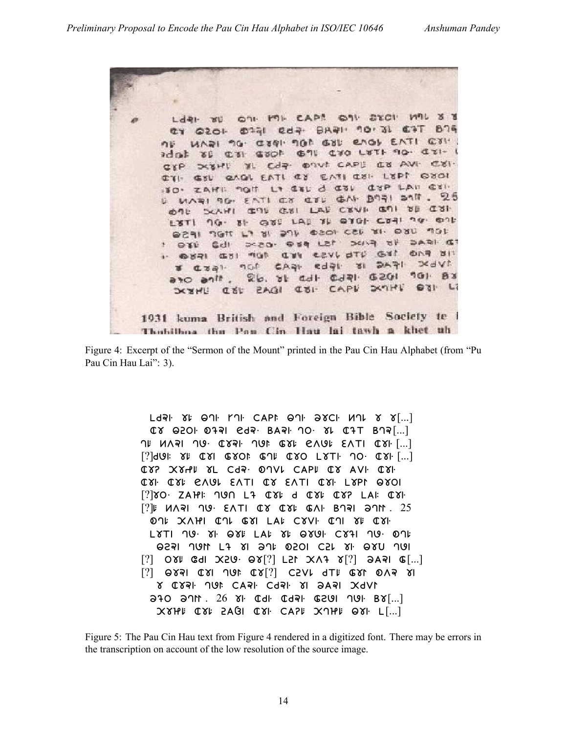ON MI CAPA ON STOI MIL  $3<sub>8</sub>$ LdRI WU otal eda- BAal noral  $B \cap n$  $6.4$  $630 -$ UADI 9G. CIQI. 9GA GIL EAGL EATI  $G^{\ast}X$ C'SI GOOF G'IL C'YO L'YTH 90. C'EI-**XE** IL Cdp. Onut CAPL C8 AVI. C81. DISPU GAGI EATI EY EATI CUI- LEPT GYOI GSL **CISP LAN CIN** La del d del ZAHI: 90H MARI 96. EATI CY CIL GAI. B971 SAIT. 25 SCANT GOT GUT LAF CEVE GOT UP CUT めりじ GES LAS IS OTHER COAL TO ONE  $18T190.8$ DEAL TIGHT LT 81: 274 OZON CEL 21. DBU MOL DO IFAG VO FINC 15J PED . 053  $C<sub>1</sub>$ . OVAI GUI NOT CUN CEVL OTL GUI **DAR 811**  $31.5451$ **SKAVI** Czal. not CAAL edal. 26. It adt cdal G201 901 BY ano anit. SCENE CET ZAGI CEI CAPE SCANE OTI LI 1931 kuma British and Foreign Bible Society te Thobilboa thu Pan Cin Hau lai tawh a khet uh

Figure 4: Excerpt of the "Sermon of the Mount" printed in the Pau Cin Hau Alphabet (from "Pu Pau Cin Hau Lai": 3).

 $L$ dal  $\gamma$ l  $\Theta$ dl  $\Gamma$ dl  $C$ API  $\Theta$ dl  $\Theta$  $\gamma C$ l  $M$ ul  $\gamma$   $\gamma$ [...]  $(X \cup Q_1)$   $Q_2$   $Q_3$   $Q_4$   $Q_5$   $Q_7$   $Q_8$   $Q_9$   $Q_1$   $Q_2$   $Q_1$   $Q_2$   $Q_3$   $Q_1$  $\overline{1}$   $\overline{1}$   $\overline{1}$   $\overline{1}$   $\overline{1}$   $\overline{1}$   $\overline{1}$   $\overline{1}$   $\overline{1}$   $\overline{1}$   $\overline{1}$   $\overline{1}$   $\overline{1}$   $\overline{1}$   $\overline{1}$   $\overline{1}$   $\overline{1}$   $\overline{1}$   $\overline{1}$   $\overline{1}$   $\overline{1}$   $\overline{1}$   $\overline{1}$   $\overline{1}$   $\overline{$  $[?]$  $dQ$ |:  $\chi$ |:  $\mathbb{C}$  $\chi$ |  $\mathbb{C}$  $\chi$ O|:  $\mathbb{C}$  $\chi$ |:  $\mathbb{C}$  $\chi$ |:  $\mathbb{C}$  $\chi$ |:  $\mathbb{C}$  $\chi$ |:  $\mathbb{C}$  $\chi$ |:  $\mathbb{C}$  $\chi$ |:  $\chi$ |:  $\chi$ |:  $\chi$ |:  $\chi$ |:  $\chi$ |:  $\chi$ |:  $\chi$ |:  $\chi$ |:  $\chi$ |:  $\chi$ |:  $\chi$ |:  $\chi$ | CXP XXHI XL Cda. ONVI CAPI CX AVI CXI. C. 21. C. 24. GVOM EVLI C. 2 EVLI C. 21. M. P. P. 201  $[?]$  $SO$   $ZAH$ :  $190$   $L$  $7$   $QY$   $d$   $QY$   $QY$   $LAY$   $LAY$ [?] . 25 ON: XAHI CN GYI LAI CYVI CN YI CYI  $LSTI$   $10.8I$ .  $QYE$   $LAV$   $YE$   $QYQI$ .  $CY1$   $10.01E$ 9531 JUN L7 81 9JL 0501 C51 81 980 JUI  $[?]$  OXI GdI X2U OX $[?]$  L2I XA7  $X[?]$  ƏAPI G $[...]$  $[?]$   $\Theta$ 83| C8| JUF C8 $[?]$  C5VL dTF C8L 0Vs 8| 8 C831 JUI CA31 Cd31 81 2A31 XdVI  $340$   $311$ .  $26$   $81$  CdI CdPI GSUI  $101$  B $8$ [...]  $X$  $Y$  $H$  $F$   $Q$  $Y$  $F$   $Q$  $Q$  $Q$   $Q$  $Y$  $F$   $Q$  $Q$  $F$   $Q$  $Q$  $G$  $G$   $Y$   $Q$  $H$  $F$   $Q$  $Y$  $F$   $L$  $L$  $L$  $L$ 

Figure 5: The Pau Cin Hau text from Figure 4 rendered in a digitized font. There may be errors in the transcription on account of the low resolution of the source image.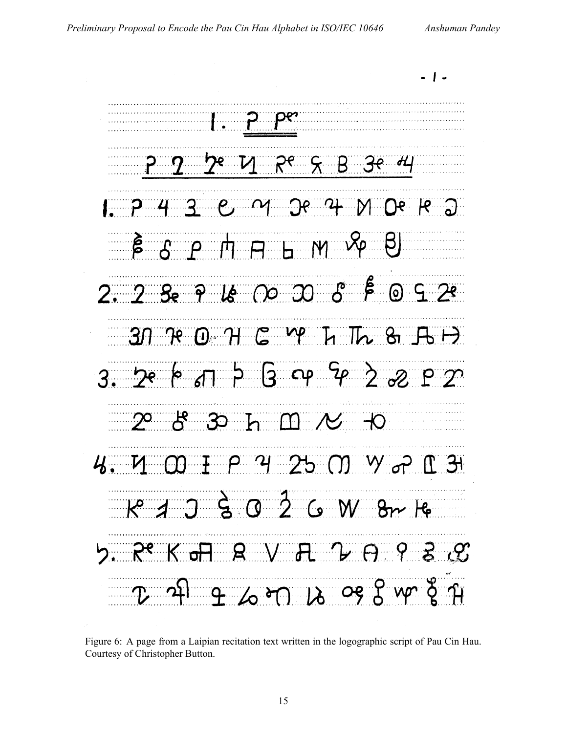$-5B$ C M Je 4  $R^2$  $\bigcap$ **B** S P H H H M YP  $\beta$  $30$   $R$   $0$   $H$   $C$   $M$   $L$   $R$   $B$   $H$ 3. De le  $\pi$   $\beta$   $\beta$  op  $\frac{c_0}{2}$   $\frac{d_0}{2}$   $\frac{d_1}{2}$   $\frac{d_2}{2}$  $2^{\circ}$  8 3 h M  $\prime\prime$  +0 4. M W I P 4 25 M W P I 31  $R^{\circ}$   $A$   $B$   $B$   $B$   $C$   $C$   $M$   $B$ r  $B$ REKT B V A V A Y 3 A  $\beta$  or  $\beta$  or  $\beta$  wr  $\zeta$   $\gamma$ 

Figure 6: A page from a Laipian recitation text written in the logographic script of Pau Cin Hau. Courtesy of Christopher Button.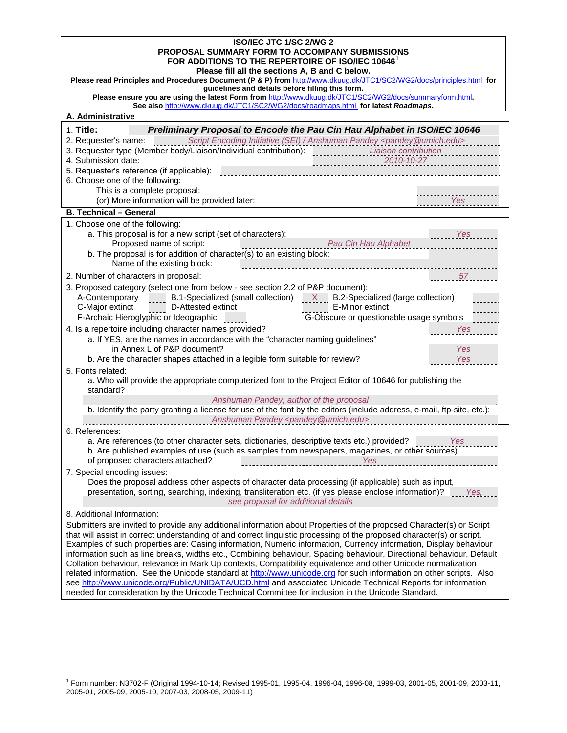| <b>ISO/IEC JTC 1/SC 2/WG 2</b><br>PROPOSAL SUMMARY FORM TO ACCOMPANY SUBMISSIONS<br>FOR ADDITIONS TO THE REPERTOIRE OF ISO/IEC 10646 <sup>1</sup><br>Please fill all the sections A, B and C below.<br>Please read Principles and Procedures Document (P & P) from http://www.dkuug.dk/JTC1/SC2/WG2/docs/principles.html for<br>guidelines and details before filling this form.                                                                                                                                                                                                                                                                                                                                                                                                                                                                                                                                                                                                       |  |  |
|----------------------------------------------------------------------------------------------------------------------------------------------------------------------------------------------------------------------------------------------------------------------------------------------------------------------------------------------------------------------------------------------------------------------------------------------------------------------------------------------------------------------------------------------------------------------------------------------------------------------------------------------------------------------------------------------------------------------------------------------------------------------------------------------------------------------------------------------------------------------------------------------------------------------------------------------------------------------------------------|--|--|
| Please ensure you are using the latest Form from http://www.dkuug.dk/JTC1/SC2/WG2/docs/summaryform.html.<br>See also http://www.dkuug.dk/JTC1/SC2/WG2/docs/roadmaps.html for latest Roadmaps.                                                                                                                                                                                                                                                                                                                                                                                                                                                                                                                                                                                                                                                                                                                                                                                          |  |  |
| A. Administrative                                                                                                                                                                                                                                                                                                                                                                                                                                                                                                                                                                                                                                                                                                                                                                                                                                                                                                                                                                      |  |  |
| $1.$ Title:<br>Preliminary Proposal to Encode the Pau Cin Hau Alphabet in ISO/IEC 10646<br>2. Requester's name: Script Encoding Initiative (SEI) / Anshuman Pandey <pandey @umich.edu=""><br/>3. Requester type (Member body/Liaison/Individual contribution):<br/>Liaison contribution<br/>4. Submission date:<br/><math>2010 - 10 - 27</math><br/>5. Requester's reference (if applicable):<br/>6. Choose one of the following:<br/>This is a complete proposal:<br/>(or) More information will be provided later:<br/>Yes</pandey>                                                                                                                                                                                                                                                                                                                                                                                                                                                  |  |  |
| <b>B. Technical - General</b>                                                                                                                                                                                                                                                                                                                                                                                                                                                                                                                                                                                                                                                                                                                                                                                                                                                                                                                                                          |  |  |
| 1. Choose one of the following:<br>a. This proposal is for a new script (set of characters):<br>Yes<br>Pau Cin Hau Alphabet<br>Proposed name of script:<br>.<br>b. The proposal is for addition of character(s) to an existing block:<br>Name of the existing block:<br>2. Number of characters in proposal:<br>57                                                                                                                                                                                                                                                                                                                                                                                                                                                                                                                                                                                                                                                                     |  |  |
| 3. Proposed category (select one from below - see section 2.2 of P&P document):<br>B.1-Specialized (small collection) X B.2-Specialized (large collection)<br>A-Contemporary<br>E-Minor extinct<br>C-Major extinct<br>D-Attested extinct<br>G-Obscure or questionable usage symbols<br>F-Archaic Hieroglyphic or Ideographic                                                                                                                                                                                                                                                                                                                                                                                                                                                                                                                                                                                                                                                           |  |  |
| 4. Is a repertoire including character names provided?<br><b>Yes</b><br>a. If YES, are the names in accordance with the "character naming guidelines"<br>in Annex L of P&P document?<br>Yes<br>b. Are the character shapes attached in a legible form suitable for review?<br><b>Yes</b><br>5. Fonts related:                                                                                                                                                                                                                                                                                                                                                                                                                                                                                                                                                                                                                                                                          |  |  |
| a. Who will provide the appropriate computerized font to the Project Editor of 10646 for publishing the<br>standard?                                                                                                                                                                                                                                                                                                                                                                                                                                                                                                                                                                                                                                                                                                                                                                                                                                                                   |  |  |
| Anshuman Pandey, author of the proposal<br>b. Identify the party granting a license for use of the font by the editors (include address, e-mail, ftp-site, etc.):<br>Anshuman Pandey <pandey@umich.edu><br/><u> 1989 - Johann Hermann Stoff, deutscher Stoff</u></pandey@umich.edu>                                                                                                                                                                                                                                                                                                                                                                                                                                                                                                                                                                                                                                                                                                    |  |  |
| 6. References:<br>a. Are references (to other character sets, dictionaries, descriptive texts etc.) provided?<br>Yes<br>b. Are published examples of use (such as samples from newspapers, magazines, or other sources)<br>of proposed characters attached?<br>Yes                                                                                                                                                                                                                                                                                                                                                                                                                                                                                                                                                                                                                                                                                                                     |  |  |
| 7. Special encoding issues:<br>Does the proposal address other aspects of character data processing (if applicable) such as input,<br>presentation, sorting, searching, indexing, transliteration etc. (if yes please enclose information)?<br>Yes,<br>see proposal for additional details                                                                                                                                                                                                                                                                                                                                                                                                                                                                                                                                                                                                                                                                                             |  |  |
| 8. Additional Information:<br>Submitters are invited to provide any additional information about Properties of the proposed Character(s) or Script<br>that will assist in correct understanding of and correct linguistic processing of the proposed character(s) or script.<br>Examples of such properties are: Casing information, Numeric information, Currency information, Display behaviour<br>information such as line breaks, widths etc., Combining behaviour, Spacing behaviour, Directional behaviour, Default<br>Collation behaviour, relevance in Mark Up contexts, Compatibility equivalence and other Unicode normalization<br>related information. See the Unicode standard at http://www.unicode.org for such information on other scripts. Also<br>see http://www.unicode.org/Public/UNIDATA/UCD.html and associated Unicode Technical Reports for information<br>needed for consideration by the Unicode Technical Committee for inclusion in the Unicode Standard. |  |  |

 1 Form number: N3702-F (Original 1994-10-14; Revised 1995-01, 1995-04, 1996-04, 1996-08, 1999-03, 2001-05, 2001-09, 2003-11, 2005-01, 2005-09, 2005-10, 2007-03, 2008-05, 2009-11)